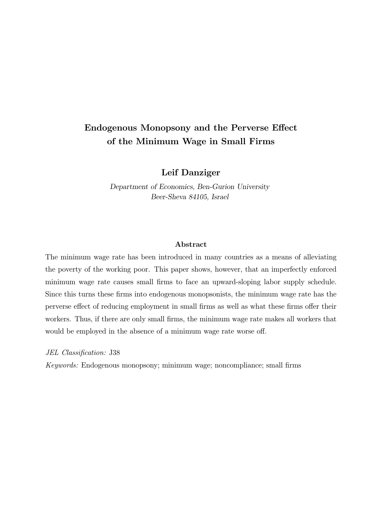# Endogenous Monopsony and the Perverse Effect of the Minimum Wage in Small Firms

## Leif Danziger

Department of Economics, Ben-Gurion University Beer-Sheva 84105, Israel

#### Abstract

The minimum wage rate has been introduced in many countries as a means of alleviating the poverty of the working poor. This paper shows, however, that an imperfectly enforced minimum wage rate causes small firms to face an upward-sloping labor supply schedule. Since this turns these firms into endogenous monopsonists, the minimum wage rate has the perverse effect of reducing employment in small firms as well as what these firms offer their workers. Thus, if there are only small firms, the minimum wage rate makes all workers that would be employed in the absence of a minimum wage rate worse off.

JEL Classification: J38

Keywords: Endogenous monopsony; minimum wage; noncompliance; small firms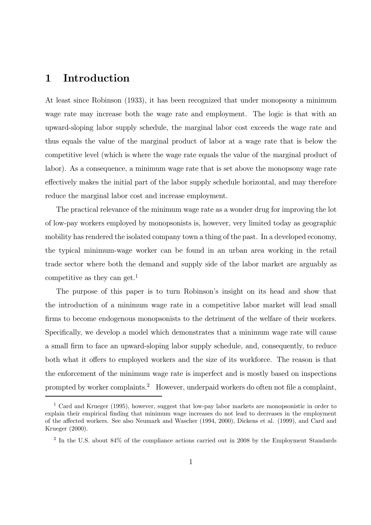## 1 Introduction

At least since Robinson (1933), it has been recognized that under monopsony a minimum wage rate may increase both the wage rate and employment. The logic is that with an upward-sloping labor supply schedule, the marginal labor cost exceeds the wage rate and thus equals the value of the marginal product of labor at a wage rate that is below the competitive level (which is where the wage rate equals the value of the marginal product of labor). As a consequence, a minimum wage rate that is set above the monopsony wage rate effectively makes the initial part of the labor supply schedule horizontal, and may therefore reduce the marginal labor cost and increase employment.

The practical relevance of the minimum wage rate as a wonder drug for improving the lot of low-pay workers employed by monopsonists is, however, very limited today as geographic mobility has rendered the isolated company town a thing of the past. In a developed economy, the typical minimum-wage worker can be found in an urban area working in the retail trade sector where both the demand and supply side of the labor market are arguably as competitive as they can get.<sup>1</sup>

The purpose of this paper is to turn Robinson's insight on its head and show that the introduction of a minimum wage rate in a competitive labor market will lead small firms to become endogenous monopsonists to the detriment of the welfare of their workers. Specifically, we develop a model which demonstrates that a minimum wage rate will cause a small firm to face an upward-sloping labor supply schedule, and, consequently, to reduce both what it offers to employed workers and the size of its workforce. The reason is that the enforcement of the minimum wage rate is imperfect and is mostly based on inspections prompted by worker complaints.<sup>2</sup> However, underpaid workers do often not file a complaint,

<sup>1</sup> Card and Krueger (1995), however, suggest that low-pay labor markets are monopsonistic in order to explain their empirical finding that minimum wage increases do not lead to decreases in the employment of the affected workers. See also Neumark and Wascher (1994, 2000), Dickens et al. (1999), and Card and Krueger (2000).

<sup>2</sup> In the U.S. about 84% of the compliance actions carried out in 2008 by the Employment Standards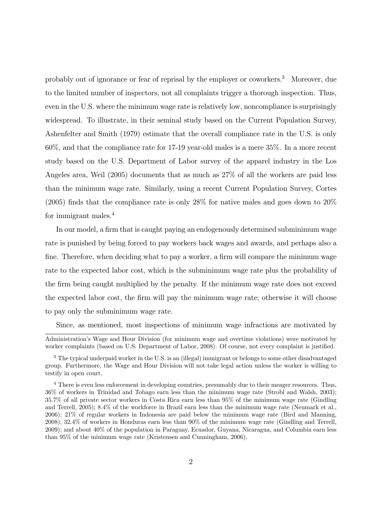probably out of ignorance or fear of reprisal by the employer or coworkers.<sup>3</sup> Moreover, due to the limited number of inspectors, not all complaints trigger a thorough inspection. Thus, even in the U.S. where the minimum wage rate is relatively low, noncompliance is surprisingly widespread. To illustrate, in their seminal study based on the Current Population Survey, Ashenfelter and Smith (1979) estimate that the overall compliance rate in the U.S. is only 60%, and that the compliance rate for 17-19 year-old males is a mere 35%. In a more recent study based on the U.S. Department of Labor survey of the apparel industry in the Los Angeles area, Weil (2005) documents that as much as 27% of all the workers are paid less than the minimum wage rate. Similarly, using a recent Current Population Survey, Cortes (2005) finds that the compliance rate is only 28% for native males and goes down to 20% for immigrant males.<sup>4</sup>

In our model, a firm that is caught paying an endogenously determined subminimum wage rate is punished by being forced to pay workers back wages and awards, and perhaps also a fine. Therefore, when deciding what to pay a worker, a firm will compare the minimum wage rate to the expected labor cost, which is the subminimum wage rate plus the probability of the firm being caught multiplied by the penalty. If the minimum wage rate does not exceed the expected labor cost, the firm will pay the minimum wage rate; otherwise it will choose to pay only the subminimum wage rate.

Since, as mentioned, most inspections of minimum wage infractions are motivated by

Administration's Wage and Hour Division (for minimum wage and overtime violations) were motivated by worker complaints (based on U.S. Department of Labor, 2008). Of course, not every complaint is justified.

<sup>&</sup>lt;sup>3</sup> The typical underpaid worker in the U.S. is an (illegal) immigrant or belongs to some other disadvantaged group. Furthermore, the Wage and Hour Division will not take legal action unless the worker is willing to testify in open court.

<sup>&</sup>lt;sup>4</sup> There is even less enforcement in developing countries, presumably due to their meager resources. Thus, 36% of workers in Trinidad and Tobago earn less than the minimum wage rate (Strobl and Walsh, 2003); 35.7% of all private sector workers in Costa Rica earn less than 95% of the minimum wage rate (Gindling and Terrell, 2005); 8.4% of the workforce in Brazil earn less than the minimum wage rate (Neumark et al., 2006); 21% of regular workers in Indonesia are paid below the minimum wage rate (Bird and Manning, 2008); 32.4% of workers in Honduras earn less than 90% of the minimum wage rate (Gindling and Terrell, 2009); and about 40% of the population in Paraguay, Ecuador, Guyana, Nicaragua, and Columbia earn less than 95% of the minimum wage rate (Kristensen and Cunningham, 2006).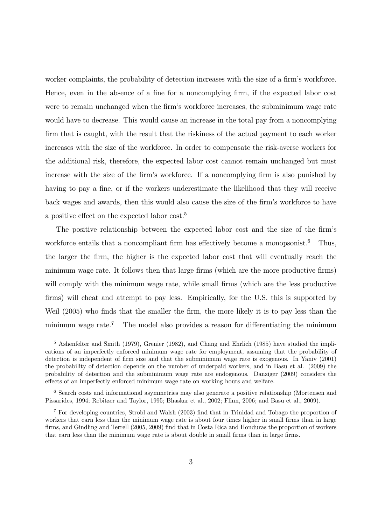worker complaints, the probability of detection increases with the size of a firm's workforce. Hence, even in the absence of a fine for a noncomplying firm, if the expected labor cost were to remain unchanged when the firm's workforce increases, the subminimum wage rate would have to decrease. This would cause an increase in the total pay from a noncomplying firm that is caught, with the result that the riskiness of the actual payment to each worker increases with the size of the workforce. In order to compensate the risk-averse workers for the additional risk, therefore, the expected labor cost cannot remain unchanged but must increase with the size of the firm's workforce. If a noncomplying firm is also punished by having to pay a fine, or if the workers underestimate the likelihood that they will receive back wages and awards, then this would also cause the size of the firm's workforce to have a positive effect on the expected labor cost.<sup>5</sup>

The positive relationship between the expected labor cost and the size of the firm's workforce entails that a noncompliant firm has effectively become a monopsonist.<sup>6</sup> Thus, the larger the firm, the higher is the expected labor cost that will eventually reach the minimum wage rate. It follows then that large firms (which are the more productive firms) will comply with the minimum wage rate, while small firms (which are the less productive firms) will cheat and attempt to pay less. Empirically, for the U.S. this is supported by Weil (2005) who finds that the smaller the firm, the more likely it is to pay less than the minimum wage rate.<sup>7</sup> The model also provides a reason for differentiating the minimum

<sup>5</sup> Ashenfelter and Smith (1979), Grenier (1982), and Chang and Ehrlich (1985) have studied the implications of an imperfectly enforced minimum wage rate for employment, assuming that the probability of detection is independent of firm size and that the subminimum wage rate is exogenous. In Yaniv (2001) the probability of detection depends on the number of underpaid workers, and in Basu et al. (2009) the probability of detection and the subminimum wage rate are endogenous. Danziger (2009) considers the effects of an imperfectly enforced minimum wage rate on working hours and welfare.

<sup>6</sup> Search costs and informational asymmetries may also generate a positive relationship (Mortensen and Pissarides, 1994; Rebitzer and Taylor, 1995; Bhaskar et al., 2002; Flinn, 2006; and Basu et al., 2009).

<sup>7</sup> For developing countries, Strobl and Walsh (2003) find that in Trinidad and Tobago the proportion of workers that earn less than the minimum wage rate is about four times higher in small firms than in large firms, and Gindling and Terrell (2005, 2009) find that in Costa Rica and Honduras the proportion of workers that earn less than the minimum wage rate is about double in small firms than in large firms.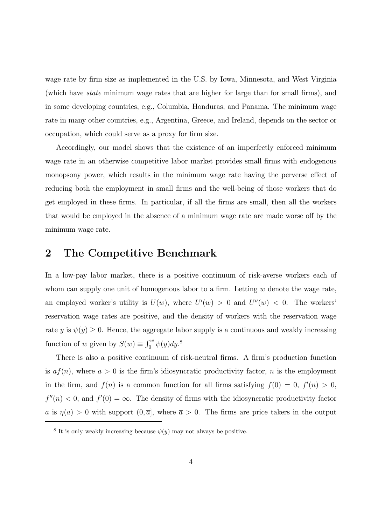wage rate by firm size as implemented in the U.S. by Iowa, Minnesota, and West Virginia (which have state minimum wage rates that are higher for large than for small firms), and in some developing countries, e.g., Columbia, Honduras, and Panama. The minimum wage rate in many other countries, e.g., Argentina, Greece, and Ireland, depends on the sector or occupation, which could serve as a proxy for firm size.

Accordingly, our model shows that the existence of an imperfectly enforced minimum wage rate in an otherwise competitive labor market provides small firms with endogenous monopsony power, which results in the minimum wage rate having the perverse effect of reducing both the employment in small firms and the well-being of those workers that do get employed in these firms. In particular, if all the firms are small, then all the workers that would be employed in the absence of a minimum wage rate are made worse off by the minimum wage rate.

#### 2 The Competitive Benchmark

In a low-pay labor market, there is a positive continuum of risk-averse workers each of whom can supply one unit of homogenous labor to a firm. Letting  $w$  denote the wage rate, an employed worker's utility is  $U(w)$ , where  $U'(w) > 0$  and  $U''(w) < 0$ . The workers' reservation wage rates are positive, and the density of workers with the reservation wage rate y is  $\psi(y) \geq 0$ . Hence, the aggregate labor supply is a continuous and weakly increasing function of w given by  $S(w) \equiv \int_0^w \psi(y) dy$ .<sup>8</sup>

There is also a positive continuum of risk-neutral firms. A firm's production function is  $af(n)$ , where  $a > 0$  is the firm's idiosyncratic productivity factor, n is the employment in the firm, and  $f(n)$  is a common function for all firms satisfying  $f(0) = 0$ ,  $f'(n) > 0$ ,  $f''(n) < 0$ , and  $f'(0) = \infty$ . The density of firms with the idiosyncratic productivity factor a is  $\eta(a) > 0$  with support  $(0, \overline{a}]$ , where  $\overline{a} > 0$ . The firms are price takers in the output

<sup>&</sup>lt;sup>8</sup> It is only weakly increasing because  $\psi(y)$  may not always be positive.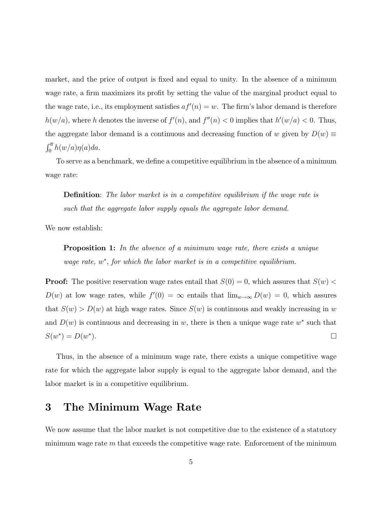market, and the price of output is fixed and equal to unity. In the absence of a minimum wage rate, a firm maximizes its profit by setting the value of the marginal product equal to the wage rate, i.e., its employment satisfies  $af'(n) = w$ . The firm's labor demand is therefore  $h(w/a)$ , where h denotes the inverse of  $f'(n)$ , and  $f''(n) < 0$  implies that  $h'(w/a) < 0$ . Thus, the aggregate labor demand is a continuous and decreasing function of w given by  $D(w) \equiv$  $\int_0^{\overline{a}} h(w/a)\eta(a)da.$ 

To serve as a benchmark, we define a competitive equilibrium in the absence of a minimum wage rate:

Definition: The labor market is in a competitive equilibrium if the wage rate is such that the aggregate labor supply equals the aggregate labor demand.

We now establish:

**Proposition 1:** In the absence of a minimum wage rate, there exists a unique wage rate,  $w^*$ , for which the labor market is in a competitive equilibrium.

**Proof:** The positive reservation wage rates entail that  $S(0) = 0$ , which assures that  $S(w)$  $D(w)$  at low wage rates, while  $f'(0) = \infty$  entails that  $\lim_{w \to \infty} D(w) = 0$ , which assures that  $S(w) > D(w)$  at high wage rates. Since  $S(w)$  is continuous and weakly increasing in w and  $D(w)$  is continuous and decreasing in w, there is then a unique wage rate w<sup>\*</sup> such that  $S(w^*) = D(w^*).$ 

Thus, in the absence of a minimum wage rate, there exists a unique competitive wage rate for which the aggregate labor supply is equal to the aggregate labor demand, and the labor market is in a competitive equilibrium.

#### 3 The Minimum Wage Rate

We now assume that the labor market is not competitive due to the existence of a statutory minimum wage rate  $m$  that exceeds the competitive wage rate. Enforcement of the minimum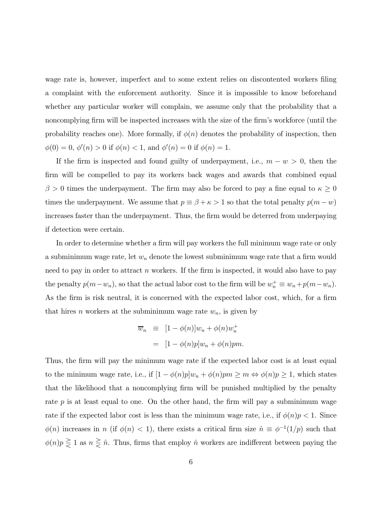wage rate is, however, imperfect and to some extent relies on discontented workers filing a complaint with the enforcement authority. Since it is impossible to know beforehand whether any particular worker will complain, we assume only that the probability that a noncomplying firm will be inspected increases with the size of the firm's workforce (until the probability reaches one). More formally, if  $\phi(n)$  denotes the probability of inspection, then  $\phi(0) = 0, \, \phi'(n) > 0$  if  $\phi(n) < 1$ , and  $\phi'(n) = 0$  if  $\phi(n) = 1$ .

If the firm is inspected and found guilty of underpayment, i.e.,  $m - w > 0$ , then the firm will be compelled to pay its workers back wages and awards that combined equal  $\beta > 0$  times the underpayment. The firm may also be forced to pay a fine equal to  $\kappa \ge 0$ times the underpayment. We assume that  $p \equiv \beta + \kappa > 1$  so that the total penalty  $p(m - w)$ increases faster than the underpayment. Thus, the firm would be deterred from underpaying if detection were certain.

In order to determine whether a firm will pay workers the full minimum wage rate or only a subminimum wage rate, let  $w_n$  denote the lowest subminimum wage rate that a firm would need to pay in order to attract  $n$  workers. If the firm is inspected, it would also have to pay the penalty  $p(m-w_n)$ , so that the actual labor cost to the firm will be  $w_n^+ \equiv w_n + p(m-w_n)$ . As the firm is risk neutral, it is concerned with the expected labor cost, which, for a firm that hires *n* workers at the subminimum wage rate  $w_n$ , is given by

$$
\overline{w}_n \equiv [1 - \phi(n)]w_n + \phi(n)w_n^+ \n= [1 - \phi(n)p]w_n + \phi(n)pm.
$$

Thus, the firm will pay the minimum wage rate if the expected labor cost is at least equal to the minimum wage rate, i.e., if  $[1 - \phi(n)p]w_n + \phi(n)pm \ge m \Leftrightarrow \phi(n)p \ge 1$ , which states that the likelihood that a noncomplying firm will be punished multiplied by the penalty rate  $p$  is at least equal to one. On the other hand, the firm will pay a subminimum wage rate if the expected labor cost is less than the minimum wage rate, i.e., if  $\phi(n)p < 1$ . Since  $\phi(n)$  increases in n (if  $\phi(n) < 1$ ), there exists a critical firm size  $\hat{n} \equiv \phi^{-1}(1/p)$  such that  $\phi(n)p \geq 1$  as  $n \geq \hat{n}$ . Thus, firms that employ  $\hat{n}$  workers are indifferent between paying the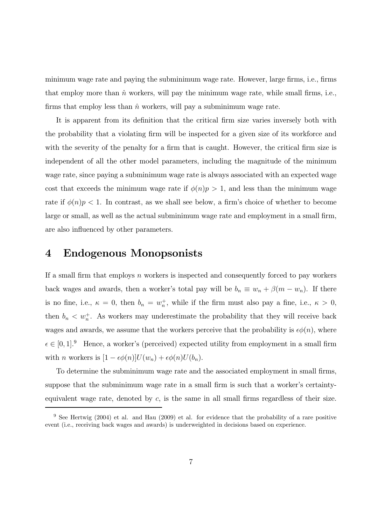minimum wage rate and paying the subminimum wage rate. However, large firms, i.e., firms that employ more than  $\hat{n}$  workers, will pay the minimum wage rate, while small firms, i.e., firms that employ less than  $\hat{n}$  workers, will pay a subminimum wage rate.

It is apparent from its definition that the critical firm size varies inversely both with the probability that a violating firm will be inspected for a given size of its workforce and with the severity of the penalty for a firm that is caught. However, the critical firm size is independent of all the other model parameters, including the magnitude of the minimum wage rate, since paying a subminimum wage rate is always associated with an expected wage cost that exceeds the minimum wage rate if  $\phi(n)p > 1$ , and less than the minimum wage rate if  $\phi(n)p < 1$ . In contrast, as we shall see below, a firm's choice of whether to become large or small, as well as the actual subminimum wage rate and employment in a small firm, are also influenced by other parameters.

#### 4 Endogenous Monopsonists

If a small firm that employs  $n$  workers is inspected and consequently forced to pay workers back wages and awards, then a worker's total pay will be  $b_n \equiv w_n + \beta(m - w_n)$ . If there is no fine, i.e.,  $\kappa = 0$ , then  $b_n = w_n^+$ , while if the firm must also pay a fine, i.e.,  $\kappa > 0$ , then  $b_n < w_n^+$ . As workers may underestimate the probability that they will receive back wages and awards, we assume that the workers perceive that the probability is  $\epsilon\phi(n)$ , where  $\epsilon \in [0, 1]^9$  Hence, a worker's (perceived) expected utility from employment in a small firm with *n* workers is  $[1 - \epsilon \phi(n)]U(w_n) + \epsilon \phi(n)U(b_n)$ .

To determine the subminimum wage rate and the associated employment in small firms, suppose that the subminimum wage rate in a small firm is such that a worker's certaintyequivalent wage rate, denoted by  $c$ , is the same in all small firms regardless of their size.

<sup>9</sup> See Hertwig (2004) et al. and Hau (2009) et al. for evidence that the probability of a rare positive event (i.e., receiving back wages and awards) is underweighted in decisions based on experience.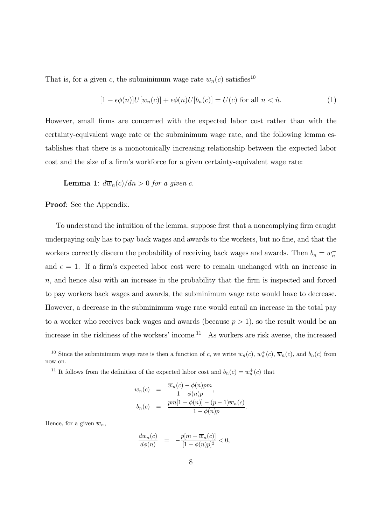That is, for a given c, the subminimum wage rate  $w_n(c)$  satisfies<sup>10</sup>

$$
[1 - \epsilon \phi(n)]U[w_n(c)] + \epsilon \phi(n)U[b_n(c)] = U(c) \text{ for all } n < \hat{n}.
$$
 (1)

However, small firms are concerned with the expected labor cost rather than with the certainty-equivalent wage rate or the subminimum wage rate, and the following lemma establishes that there is a monotonically increasing relationship between the expected labor cost and the size of a firm's workforce for a given certainty-equivalent wage rate:

**Lemma 1:**  $d\overline{w}_n(c)/dn > 0$  for a given c.

Proof: See the Appendix.

To understand the intuition of the lemma, suppose first that a noncomplying firm caught underpaying only has to pay back wages and awards to the workers, but no fine, and that the workers correctly discern the probability of receiving back wages and awards. Then  $b_n = w_n^+$ and  $\epsilon = 1$ . If a firm's expected labor cost were to remain unchanged with an increase in n, and hence also with an increase in the probability that the firm is inspected and forced to pay workers back wages and awards, the subminimum wage rate would have to decrease. However, a decrease in the subminimum wage rate would entail an increase in the total pay to a worker who receives back wages and awards (because  $p > 1$ ), so the result would be an increase in the riskiness of the workers' income.<sup>11</sup> As workers are risk averse, the increased

<sup>11</sup> It follows from the definition of the expected labor cost and  $b_n(c) = w_n^+(c)$  that

$$
w_n(c) = \frac{\overline{w}_n(c) - \phi(n)pm}{1 - \phi(n)p},
$$
  
\n
$$
b_n(c) = \frac{pm[1 - \phi(n)] - (p-1)\overline{w}_n(c)}{1 - \phi(n)p}.
$$

Hence, for a given  $\overline{w}_n$ ,

$$
\frac{dw_n(c)}{d\phi(n)} = -\frac{p[m - \overline{w}_n(c)]}{[1 - \phi(n)p]^2} < 0,
$$

<sup>&</sup>lt;sup>10</sup> Since the subminimum wage rate is then a function of c, we write  $w_n(c)$ ,  $w_n^+(c)$ ,  $\overline{w}_n(c)$ , and  $b_n(c)$  from now on.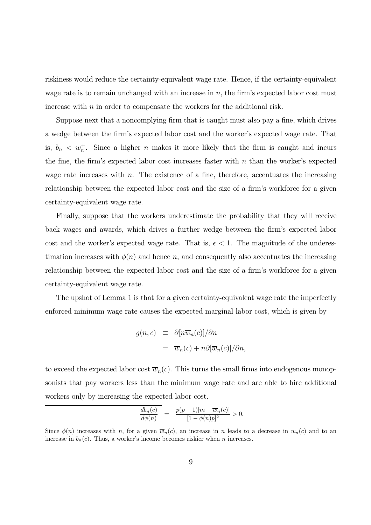riskiness would reduce the certainty-equivalent wage rate. Hence, if the certainty-equivalent wage rate is to remain unchanged with an increase in  $n$ , the firm's expected labor cost must increase with n in order to compensate the workers for the additional risk.

Suppose next that a noncomplying firm that is caught must also pay a fine, which drives a wedge between the firm's expected labor cost and the worker's expected wage rate. That is,  $b_n < w_n^+$ . Since a higher n makes it more likely that the firm is caught and incurs the fine, the firm's expected labor cost increases faster with  $n$  than the worker's expected wage rate increases with  $n$ . The existence of a fine, therefore, accentuates the increasing relationship between the expected labor cost and the size of a firm's workforce for a given certainty-equivalent wage rate.

Finally, suppose that the workers underestimate the probability that they will receive back wages and awards, which drives a further wedge between the firm's expected labor cost and the worker's expected wage rate. That is,  $\epsilon < 1$ . The magnitude of the underestimation increases with  $\phi(n)$  and hence n, and consequently also accentuates the increasing relationship between the expected labor cost and the size of a firm's workforce for a given certainty-equivalent wage rate.

The upshot of Lemma 1 is that for a given certainty-equivalent wage rate the imperfectly enforced minimum wage rate causes the expected marginal labor cost, which is given by

$$
g(n, c) \equiv \partial [n\overline{w}_n(c)]/\partial n
$$
  

$$
= \overline{w}_n(c) + n\partial [\overline{w}_n(c)]/\partial n,
$$

to exceed the expected labor cost  $\overline{w}_n(c)$ . This turns the small firms into endogenous monopsonists that pay workers less than the minimum wage rate and are able to hire additional workers only by increasing the expected labor cost.

$$
\frac{db_n(c)}{d\phi(n)} = \frac{p(p-1)[m - \overline{w}_n(c)]}{[1 - \phi(n)p]^2} > 0.
$$

Since  $\phi(n)$  increases with n, for a given  $\overline{w}_n(c)$ , an increase in n leads to a decrease in  $w_n(c)$  and to an increase in  $b_n(c)$ . Thus, a worker's income becomes riskier when n increases.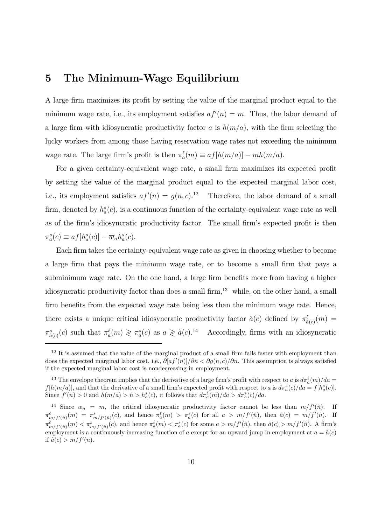#### 5 The Minimum-Wage Equilibrium

A large firm maximizes its profit by setting the value of the marginal product equal to the minimum wage rate, i.e., its employment satisfies  $af'(n) = m$ . Thus, the labor demand of a large firm with idiosyncratic productivity factor a is  $h(m/a)$ , with the firm selecting the lucky workers from among those having reservation wage rates not exceeding the minimum wage rate. The large firm's profit is then  $\pi_a^{\ell}(m) \equiv af[h(m/a)] - mh(m/a)$ .

For a given certainty-equivalent wage rate, a small firm maximizes its expected profit by setting the value of the marginal product equal to the expected marginal labor cost, i.e., its employment satisfies  $af'(n) = g(n, c)$ .<sup>12</sup> Therefore, the labor demand of a small firm, denoted by  $h_a^s(c)$ , is a continuous function of the certainty-equivalent wage rate as well as of the firm's idiosyncratic productivity factor. The small firm's expected profit is then  $\pi_a^s(c) \equiv af[h_a^s(c)] - \overline{w}_n h_a^s(c).$ 

Each firm takes the certainty-equivalent wage rate as given in choosing whether to become a large firm that pays the minimum wage rate, or to become a small firm that pays a subminimum wage rate. On the one hand, a large firm benefits more from having a higher idiosyncratic productivity factor than does a small firm,<sup>13</sup> while, on the other hand, a small firm benefits from the expected wage rate being less than the minimum wage rate. Hence, there exists a unique critical idiosyncratic productivity factor  $\hat{a}(c)$  defined by  $\pi_{\hat{a}(c)}^{\ell}(m)$  $\pi_{\hat{a}(c)}^s(c)$  such that  $\pi_a^{\ell}(m) \geq \pi_a^s(c)$  as  $a \geq \hat{a}(c).$ <sup>14</sup> Accordingly, firms with an idiosyncratic

 $12$  It is assumed that the value of the marginal product of a small firm falls faster with employment than does the expected marginal labor cost, i.e.,  $\partial [af'(n)]/\partial n < \partial g(n,c)/\partial n$ . This assumption is always satisfied if the expected marginal labor cost is nondecreasing in employment.

<sup>&</sup>lt;sup>13</sup> The envelope theorem implies that the derivative of a large firm's profit with respect to a is  $d\pi_a^{\ell}(m)/da =$  $f[h(m/a)],$  and that the derivative of a small firm's expected profit with respect to a is  $d\pi_a^s(c)/da = f[h_a^s(c)].$ Since  $f'(n) > 0$  and  $h(m/a) > \hat{n} > h_a^s(c)$ , it follows that  $d\pi_a^{\ell}(m)/da > d\pi_a^s(c)/da$ .

<sup>&</sup>lt;sup>14</sup> Since  $w_{\hat{n}} = m$ , the critical idiosyncratic productivity factor cannot be less than  $m/f'(\hat{n})$ . If  $\pi_{m/f'(\hat{n})}^{\ell}(m) = \pi_{m/f'(\hat{n})}^s(c)$ , and hence  $\pi_a^{\ell}(m) > \pi_a^s(c)$  for all  $a > m/f'(\hat{n})$ , then  $\hat{a}(c) = m/f'(\hat{n})$ . If  $\pi_{m/f'(\hat{n})}^{\ell}(m) < \pi_{m/f'(\hat{n})}^{s}(c)$ , and hence  $\pi_a^{\ell}(m) < \pi_a^{s}(c)$  for some  $a > m/f'(\hat{n})$ , then  $\hat{a}(c) > m/f'(\hat{n})$ . A firm's employment is a continuously increasing function of a except for an upward jump in employment at  $a = \hat{a}(c)$ if  $\hat{a}(c) > m/f'(n)$ .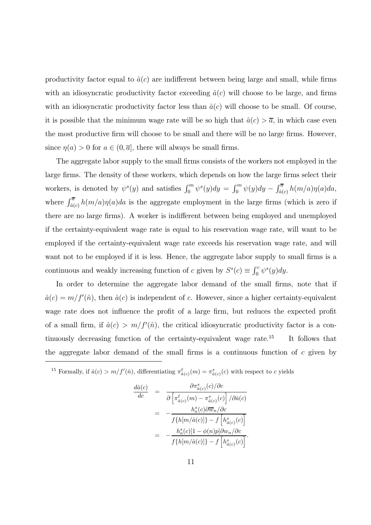productivity factor equal to  $\hat{a}(c)$  are indifferent between being large and small, while firms with an idiosyncratic productivity factor exceeding  $\hat{a}(c)$  will choose to be large, and firms with an idiosyncratic productivity factor less than  $\hat{a}(c)$  will choose to be small. Of course, it is possible that the minimum wage rate will be so high that  $\hat{a}(c) > \overline{a}$ , in which case even the most productive firm will choose to be small and there will be no large firms. However, since  $\eta(a) > 0$  for  $a \in (0, \overline{a}]$ , there will always be small firms.

The aggregate labor supply to the small firms consists of the workers not employed in the large firms. The density of these workers, which depends on how the large firms select their workers, is denoted by  $\psi^s(y)$  and satisfies  $\int_0^m \psi^s(y) dy = \int_0^m \psi(y) dy - \int_{\hat{a}(c)}^{\overline{a}} h(m/a) \eta(a) da$ , where  $\int_{\hat{a}(c)}^{\overline{a}} h(m/a)\eta(a)da$  is the aggregate employment in the large firms (which is zero if there are no large firms). A worker is indifferent between being employed and unemployed if the certainty-equivalent wage rate is equal to his reservation wage rate, will want to be employed if the certainty-equivalent wage rate exceeds his reservation wage rate, and will want not to be employed if it is less. Hence, the aggregate labor supply to small firms is a continuous and weakly increasing function of c given by  $S<sup>s</sup>(c) \equiv \int_0^c \psi^s(y) dy$ .

In order to determine the aggregate labor demand of the small firms, note that if  $\hat{a}(c) = m/f'(\hat{n})$ , then  $\hat{a}(c)$  is independent of c. However, since a higher certainty-equivalent wage rate does not influence the profit of a large firm, but reduces the expected profit of a small firm, if  $\hat{a}(c) > m/f'(\hat{n})$ , the critical idiosyncratic productivity factor is a continuously decreasing function of the certainty-equivalent wage rate.<sup>15</sup> It follows that the aggregate labor demand of the small firms is a continuous function of  $c$  given by

<sup>15</sup> Formally, if  $\hat{a}(c) > m/f'(\hat{n})$ , differentiating  $\pi^{\ell}_{\hat{a}(c)}(m) = \pi^{s}_{\hat{a}(c)}(c)$  with respect to c yields

$$
\begin{array}{rcl} \frac{d\hat{a}(c)}{dc} & = & \frac{\partial \pi_{\hat{a}(c)}^s(c)/\partial c}{\partial\left[\pi_{\hat{a}(c)}^\ell(m)-\pi_{\hat{a}(c)}^s(c)\right]/\partial \hat{a}(c)} \\ \\ & = & -\frac{h_a^s(c)\partial \overline{w}_n/\partial c}{f\{h[m/\hat{a}(c)]\} - f\left[h_{\hat{a}(c)}^s(c)\right]} \\ \\ & = & -\frac{h_a^s(c)[1-\phi(n)p]\partial w_n/\partial c}{f\{h[m/\hat{a}(c)]\} - f\left[h_{\hat{a}(c)}^s(c)\right]}.\end{array}
$$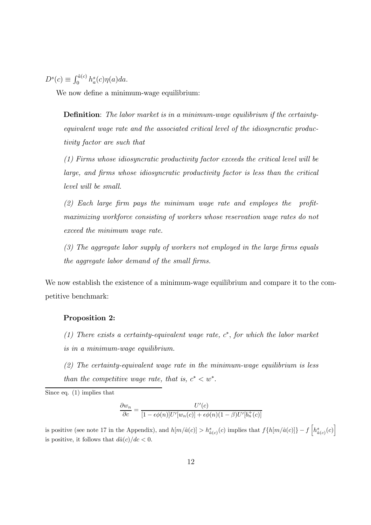$D^{s}(c) \equiv \int_0^{\hat{a}(c)} h_{a}^{s}(c) \eta(a) da.$ 

We now define a minimum-wage equilibrium:

Definition: The labor market is in a minimum-wage equilibrium if the certaintyequivalent wage rate and the associated critical level of the idiosyncratic productivity factor are such that

(1) Firms whose idiosyncratic productivity factor exceeds the critical level will be large, and firms whose idiosyncratic productivity factor is less than the critical level will be small.

(2) Each large firm pays the minimum wage rate and employes the profitmaximizing workforce consisting of workers whose reservation wage rates do not exceed the minimum wage rate.

(3) The aggregate labor supply of workers not employed in the large firms equals the aggregate labor demand of the small firms.

We now establish the existence of a minimum-wage equilibrium and compare it to the competitive benchmark:

#### Proposition 2:

- (1) There exists a certainty-equivalent wage rate,  $c^*$ , for which the labor market is in a minimum-wage equilibrium.
- $(2)$  The certainty-equivalent wage rate in the minimum-wage equilibrium is less than the competitive wage rate, that is,  $c^* < w^*$ .

$$
\frac{\partial w_n}{\partial c} = \frac{U'(c)}{[1 - \epsilon \phi(n)] U'[w_n(c)] + \epsilon \phi(n)(1 - \beta)U'[b_n^+(c)]}
$$

is positive (see note 17 in the Appendix), and  $h[m/\hat{a}(c)] > h_{\hat{a}(c)}^s(c)$  implies that  $f\{h[m/\hat{a}(c)]\} - f\left[h_{\hat{a}(c)}^s(c)\right]$ is positive, it follows that  $d\hat{a}(c)/dc < 0$ .

Since eq. (1) implies that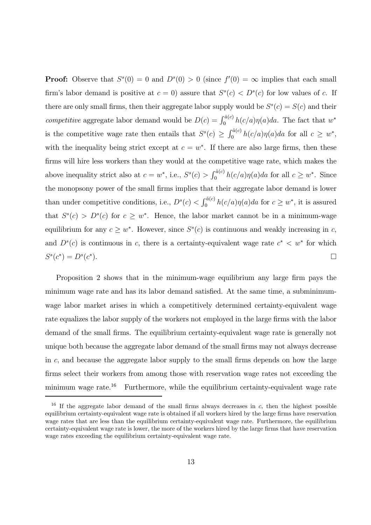**Proof:** Observe that  $S^s(0) = 0$  and  $D^s(0) > 0$  (since  $f'(0) = \infty$  implies that each small firm's labor demand is positive at  $c = 0$ ) assure that  $S<sup>s</sup>(c) < D<sup>s</sup>(c)$  for low values of c. If there are only small firms, then their aggregate labor supply would be  $S<sup>s</sup>(c) = S(c)$  and their competitive aggregate labor demand would be  $D(c) = \int_0^{\hat{a}(c)} h(c/a) \eta(a) da$ . The fact that w<sup>\*</sup> is the competitive wage rate then entails that  $S<sup>s</sup>(c) \geq \int_0^{\hat{a}(c)} h(c/a)\eta(a)da$  for all  $c \geq w^*$ , with the inequality being strict except at  $c = w^*$ . If there are also large firms, then these firms will hire less workers than they would at the competitive wage rate, which makes the above inequality strict also at  $c = w^*$ , i.e.,  $S<sup>s</sup>(c) > \int_0^{\hat{a}(c)} h(c/a)\eta(a)da$  for all  $c \geq w^*$ . Since the monopsony power of the small firms implies that their aggregate labor demand is lower than under competitive conditions, i.e.,  $D^{s}(c) < \int_0^{\hat{a}(c)} h(c/a)\eta(a)da$  for  $c \geq w^*$ , it is assured that  $S<sup>s</sup>(c) > D<sup>s</sup>(c)$  for  $c \geq w^*$ . Hence, the labor market cannot be in a minimum-wage equilibrium for any  $c \geq w^*$ . However, since  $S<sup>s</sup>(c)$  is continuous and weakly increasing in c, and  $D<sup>s</sup>(c)$  is continuous in c, there is a certainty-equivalent wage rate  $c<sup>*</sup> < w<sup>*</sup>$  for which  $S^{s}(c^{*}) = D^{s}(c^{*}).$ 

Proposition 2 shows that in the minimum-wage equilibrium any large firm pays the minimum wage rate and has its labor demand satisfied. At the same time, a subminimumwage labor market arises in which a competitively determined certainty-equivalent wage rate equalizes the labor supply of the workers not employed in the large firms with the labor demand of the small firms. The equilibrium certainty-equivalent wage rate is generally not unique both because the aggregate labor demand of the small firms may not always decrease in c, and because the aggregate labor supply to the small firms depends on how the large firms select their workers from among those with reservation wage rates not exceeding the minimum wage rate.<sup>16</sup> Furthermore, while the equilibrium certainty-equivalent wage rate

<sup>&</sup>lt;sup>16</sup> If the aggregate labor demand of the small firms always decreases in c, then the highest possible equilibrium certainty-equivalent wage rate is obtained if all workers hired by the large firms have reservation wage rates that are less than the equilibrium certainty-equivalent wage rate. Furthermore, the equilibrium certainty-equivalent wage rate is lower, the more of the workers hired by the large firms that have reservation wage rates exceeding the equilibrium certainty-equivalent wage rate.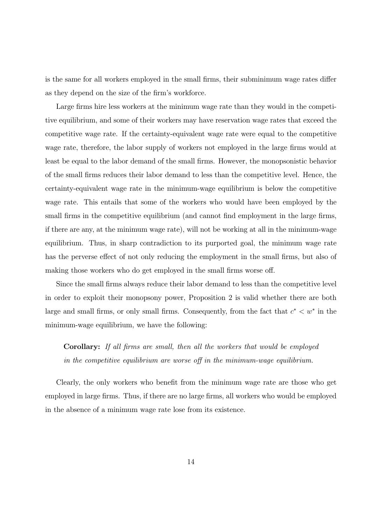is the same for all workers employed in the small firms, their subminimum wage rates differ as they depend on the size of the firm's workforce.

Large firms hire less workers at the minimum wage rate than they would in the competitive equilibrium, and some of their workers may have reservation wage rates that exceed the competitive wage rate. If the certainty-equivalent wage rate were equal to the competitive wage rate, therefore, the labor supply of workers not employed in the large firms would at least be equal to the labor demand of the small firms. However, the monopsonistic behavior of the small firms reduces their labor demand to less than the competitive level. Hence, the certainty-equivalent wage rate in the minimum-wage equilibrium is below the competitive wage rate. This entails that some of the workers who would have been employed by the small firms in the competitive equilibrium (and cannot find employment in the large firms, if there are any, at the minimum wage rate), will not be working at all in the minimum-wage equilibrium. Thus, in sharp contradiction to its purported goal, the minimum wage rate has the perverse effect of not only reducing the employment in the small firms, but also of making those workers who do get employed in the small firms worse off.

Since the small firms always reduce their labor demand to less than the competitive level in order to exploit their monopsony power, Proposition 2 is valid whether there are both large and small firms, or only small firms. Consequently, from the fact that  $c^* \leq w^*$  in the minimum-wage equilibrium, we have the following:

Corollary: If all firms are small, then all the workers that would be employed in the competitive equilibrium are worse off in the minimum-wage equilibrium.

Clearly, the only workers who benefit from the minimum wage rate are those who get employed in large firms. Thus, if there are no large firms, all workers who would be employed in the absence of a minimum wage rate lose from its existence.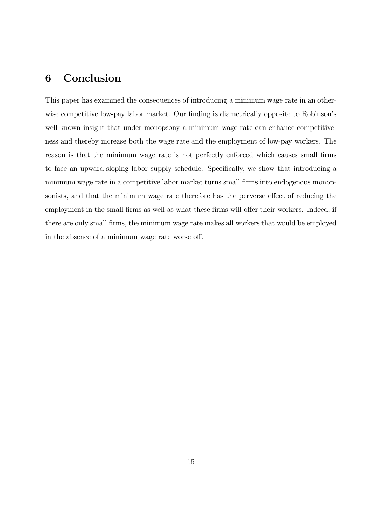## 6 Conclusion

This paper has examined the consequences of introducing a minimum wage rate in an otherwise competitive low-pay labor market. Our finding is diametrically opposite to Robinson's well-known insight that under monopsony a minimum wage rate can enhance competitiveness and thereby increase both the wage rate and the employment of low-pay workers. The reason is that the minimum wage rate is not perfectly enforced which causes small firms to face an upward-sloping labor supply schedule. Specifically, we show that introducing a minimum wage rate in a competitive labor market turns small firms into endogenous monopsonists, and that the minimum wage rate therefore has the perverse effect of reducing the employment in the small firms as well as what these firms will offer their workers. Indeed, if there are only small firms, the minimum wage rate makes all workers that would be employed in the absence of a minimum wage rate worse off.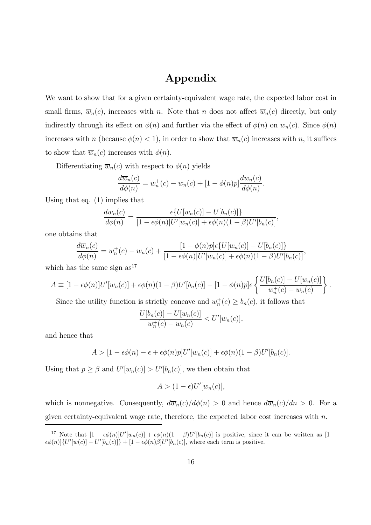# Appendix

We want to show that for a given certainty-equivalent wage rate, the expected labor cost in small firms,  $\overline{w}_n(c)$ , increases with n. Note that n does not affect  $\overline{w}_n(c)$  directly, but only indirectly through its effect on  $\phi(n)$  and further via the effect of  $\phi(n)$  on  $w_n(c)$ . Since  $\phi(n)$ increases with n (because  $\phi(n) < 1$ ), in order to show that  $\overline{w}_n(c)$  increases with n, it suffices to show that  $\overline{w}_n(c)$  increases with  $\phi(n)$ .

Differentiating  $\overline{w}_n(c)$  with respect to  $\phi(n)$  yields

$$
\frac{d\overline{w}_n(c)}{d\phi(n)} = w_n^+(c) - w_n(c) + [1 - \phi(n)p]\frac{dw_n(c)}{d\phi(n)}.
$$

Using that eq. (1) implies that

$$
\frac{dw_n(c)}{d\phi(n)} = \frac{\epsilon\{U[w_n(c)] - U[b_n(c)]\}}{[1 - \epsilon\phi(n)]U'[w_n(c)] + \epsilon\phi(n)(1 - \beta)U'[b_n(c)]},
$$

one obtains that

$$
\frac{d\overline{w}_n(c)}{d\phi(n)} = w_n^+(c) - w_n(c) + \frac{[1 - \phi(n)p] \epsilon \{ U[w_n(c)] - U[b_n(c)] \}}{[1 - \epsilon \phi(n)] U'[w_n(c)] + \epsilon \phi(n)(1 - \beta) U'[b_n(c)]},
$$

which has the same sign  $as^{17}$ 

$$
A = [1 - \epsilon \phi(n)]U'[w_n(c)] + \epsilon \phi(n)(1 - \beta)U'[b_n(c)] - [1 - \phi(n)p]\epsilon \left\{ \frac{U[b_n(c)] - U[w_n(c)]}{w_n^+(c) - w_n(c)} \right\}.
$$

Since the utility function is strictly concave and  $w_n^+(c) \ge b_n(c)$ , it follows that

$$
\frac{U[b_n(c)] - U[w_n(c)]}{w_n^+(c) - w_n(c)} < U'[w_n(c)],
$$

and hence that

$$
A > [1 - \epsilon \phi(n) - \epsilon + \epsilon \phi(n)p]U'[w_n(c)] + \epsilon \phi(n)(1 - \beta)U'[b_n(c)].
$$

Using that  $p \ge \beta$  and  $U'[w_n(c)] > U'[b_n(c)]$ , we then obtain that

$$
A > (1 - \epsilon)U'[w_n(c)],
$$

which is nonnegative. Consequently,  $d\overline{w}_n(c)/d\phi(n) > 0$  and hence  $d\overline{w}_n(c)/dn > 0$ . For a given certainty-equivalent wage rate, therefore, the expected labor cost increases with n.

<sup>&</sup>lt;sup>17</sup> Note that  $[1 - \epsilon \phi(n)]U'[w_n(c)] + \epsilon \phi(n)(1 - \beta)U'[b_n(c)]$  is positive, since it can be written as  $[1 - \epsilon \phi(n)]U'[w_n(c)]$  $\epsilon \phi(n) \left[ U'[w(c)] - U'[b_n(c)] \right] + [1 - \epsilon \phi(n) \beta] U'[b_n(c)],$  where each term is positive.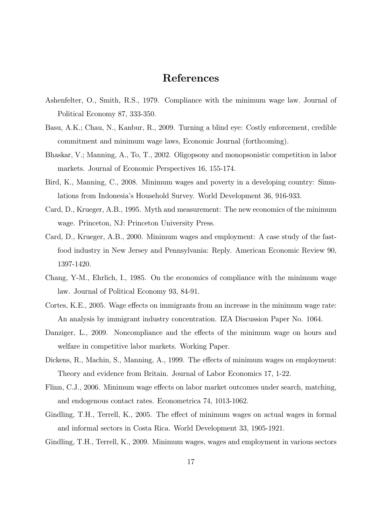## References

- Ashenfelter, O., Smith, R.S., 1979. Compliance with the minimum wage law. Journal of Political Economy 87, 333-350.
- Basu, A.K.; Chau, N., Kanbur, R., 2009. Turning a blind eye: Costly enforcement, credible commitment and minimum wage laws, Economic Journal (forthcoming).
- Bhaskar, V.; Manning, A., To, T., 2002. Oligopsony and monopsonistic competition in labor markets. Journal of Economic Perspectives 16, 155-174.
- Bird, K., Manning, C., 2008. Minimum wages and poverty in a developing country: Simulations from Indonesia's Household Survey. World Development 36, 916-933.
- Card, D., Krueger, A.B., 1995. Myth and measurement: The new economics of the minimum wage. Princeton, NJ: Princeton University Press.
- Card, D., Krueger, A.B., 2000. Minimum wages and employment: A case study of the fastfood industry in New Jersey and Pennsylvania: Reply. American Economic Review 90, 1397-1420.
- Chang, Y-M., Ehrlich, I., 1985. On the economics of compliance with the minimum wage law. Journal of Political Economy 93, 84-91.
- Cortes, K.E., 2005. Wage effects on immigrants from an increase in the minimum wage rate: An analysis by immigrant industry concentration. IZA Discussion Paper No. 1064.
- Danziger, L., 2009. Noncompliance and the effects of the minimum wage on hours and welfare in competitive labor markets. Working Paper.
- Dickens, R., Machin, S., Manning, A., 1999. The effects of minimum wages on employment: Theory and evidence from Britain. Journal of Labor Economics 17, 1-22.
- Flinn, C.J., 2006. Minimum wage effects on labor market outcomes under search, matching, and endogenous contact rates. Econometrica 74, 1013-1062.
- Gindling, T.H., Terrell, K., 2005. The effect of minimum wages on actual wages in formal and informal sectors in Costa Rica. World Development 33, 1905-1921.
- Gindling, T.H., Terrell, K., 2009. Minimum wages, wages and employment in various sectors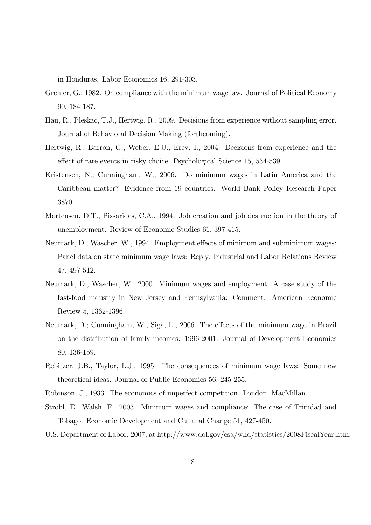in Honduras. Labor Economics 16, 291-303.

- Grenier, G., 1982. On compliance with the minimum wage law. Journal of Political Economy 90, 184-187.
- Hau, R., Pleskac, T.J., Hertwig, R., 2009. Decisions from experience without sampling error. Journal of Behavioral Decision Making (forthcoming).
- Hertwig, R., Barron, G., Weber, E.U., Erev, I., 2004. Decisions from experience and the effect of rare events in risky choice. Psychological Science 15, 534-539.
- Kristensen, N., Cunningham, W., 2006. Do minimum wages in Latin America and the Caribbean matter? Evidence from 19 countries. World Bank Policy Research Paper 3870.
- Mortensen, D.T., Pissarides, C.A., 1994. Job creation and job destruction in the theory of unemployment. Review of Economic Studies 61, 397-415.
- Neumark, D., Wascher, W., 1994. Employment effects of minimum and subminimum wages: Panel data on state minimum wage laws: Reply. Industrial and Labor Relations Review 47, 497-512.
- Neumark, D., Wascher, W., 2000. Minimum wages and employment: A case study of the fast-food industry in New Jersey and Pennsylvania: Comment. American Economic Review 5, 1362-1396.
- Neumark, D.; Cunningham, W., Siga, L., 2006. The effects of the minimum wage in Brazil on the distribution of family incomes: 1996-2001. Journal of Development Economics 80, 136-159.
- Rebitzer, J.B., Taylor, L.J., 1995. The consequences of minimum wage laws: Some new theoretical ideas. Journal of Public Economics 56, 245-255.
- Robinson, J., 1933. The economics of imperfect competition. London, MacMillan.
- Strobl, E., Walsh, F., 2003. Minimum wages and compliance: The case of Trinidad and Tobago. Economic Development and Cultural Change 51, 427-450.
- U.S. Department of Labor, 2007, at http://www.dol.gov/esa/whd/statistics/2008FiscalYear.htm.